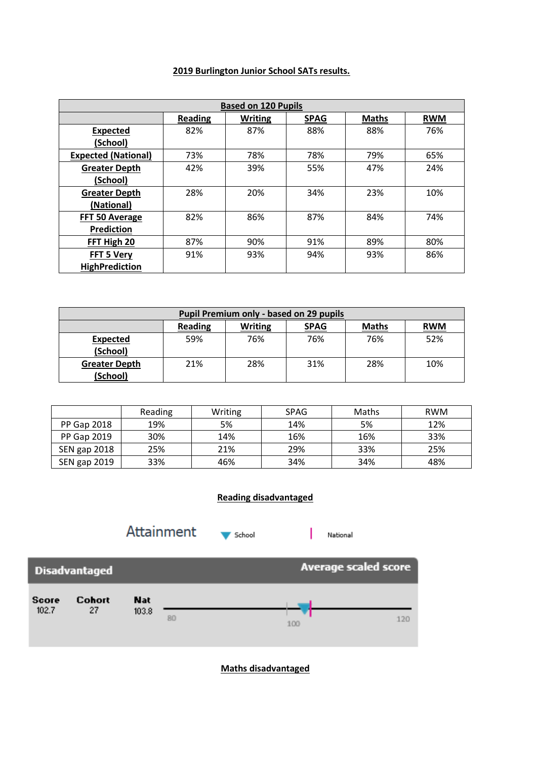## **2019 Burlington Junior School SATs results.**

| <b>Based on 120 Pupils</b> |                |                |             |              |            |  |
|----------------------------|----------------|----------------|-------------|--------------|------------|--|
|                            | <b>Reading</b> | <b>Writing</b> | <b>SPAG</b> | <b>Maths</b> | <b>RWM</b> |  |
| <b>Expected</b>            | 82%            | 87%            | 88%         | 88%          | 76%        |  |
| (School)                   |                |                |             |              |            |  |
| <b>Expected (National)</b> | 73%            | 78%            | 78%         | 79%          | 65%        |  |
| <b>Greater Depth</b>       | 42%            | 39%            | 55%         | 47%          | 24%        |  |
| (School)                   |                |                |             |              |            |  |
| <b>Greater Depth</b>       | 28%            | 20%            | 34%         | 23%          | 10%        |  |
| (National)                 |                |                |             |              |            |  |
| FFT 50 Average             | 82%            | 86%            | 87%         | 84%          | 74%        |  |
| Prediction                 |                |                |             |              |            |  |
| FFT High 20                | 87%            | 90%            | 91%         | 89%          | 80%        |  |
| FFT 5 Very                 | 91%            | 93%            | 94%         | 93%          | 86%        |  |
| <b>HighPrediction</b>      |                |                |             |              |            |  |

| Pupil Premium only - based on 29 pupils |                |                |             |              |            |  |
|-----------------------------------------|----------------|----------------|-------------|--------------|------------|--|
|                                         | <b>Reading</b> | <b>Writing</b> | <b>SPAG</b> | <b>Maths</b> | <b>RWM</b> |  |
| <b>Expected</b>                         | 59%            | 76%            | 76%         | 76%          | 52%        |  |
| (School)                                |                |                |             |              |            |  |
| <b>Greater Depth</b>                    | 21%            | 28%            | 31%         | 28%          | 10%        |  |
| (School)                                |                |                |             |              |            |  |

|                    | Reading | Writing | <b>SPAG</b> | Maths | <b>RWM</b> |
|--------------------|---------|---------|-------------|-------|------------|
| <b>PP Gap 2018</b> | 19%     | 5%      | 14%         | 5%    | 12%        |
| <b>PP Gap 2019</b> | 30%     | 14%     | 16%         | 16%   | 33%        |
| SEN gap 2018       | 25%     | 21%     | 29%         | 33%   | 25%        |
| SEN gap 2019       | 33%     | 46%     | 34%         | 34%   | 48%        |

## **Reading disadvantaged**



**Maths disadvantaged**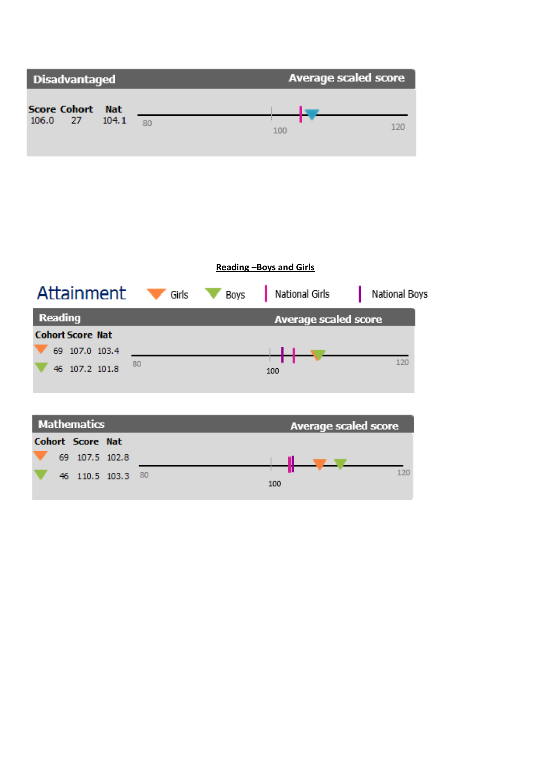